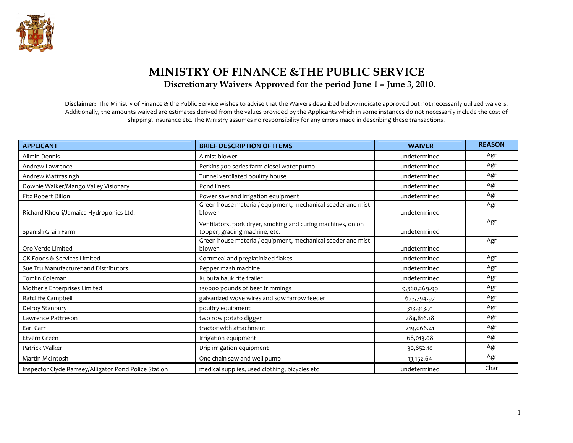

# MINISTRY OF FINANCE &THE PUBLIC SERVICE Discretionary Waivers Approved for the period June 1 – June 3, 2010.

Disclaimer: The Ministry of Finance & the Public Service wishes to advise that the Waivers described below indicate approved but not necessarily utilized waivers. Additionally, the amounts waived are estimates derived from the values provided by the Applicants which in some instances do not necessarily include the cost of shipping, insurance etc. The Ministry assumes no responsibility for any errors made in describing these transactions.

| <b>APPLICANT</b>                                     | <b>BRIEF DESCRIPTION OF ITEMS</b>                                                            | <b>WAIVER</b> | <b>REASON</b> |
|------------------------------------------------------|----------------------------------------------------------------------------------------------|---------------|---------------|
| <b>Allmin Dennis</b>                                 | A mist blower                                                                                | undetermined  | Agr           |
| Andrew Lawrence                                      | Perkins 700 series farm diesel water pump                                                    | undetermined  | Agr           |
| Andrew Mattrasingh                                   | Tunnel ventilated poultry house                                                              | undetermined  | Agr           |
| Downie Walker/Mango Valley Visionary                 | Pond liners                                                                                  | undetermined  | Agr           |
| Fitz Robert Dillon                                   | Power saw and irrigation equipment                                                           | undetermined  | Agr           |
| Richard Khouri/Jamaica Hydroponics Ltd.              | Green house material/ equipment, mechanical seeder and mist<br>blower                        | undetermined  | Agr           |
| Spanish Grain Farm                                   | Ventilators, pork dryer, smoking and curing machines, onion<br>topper, grading machine, etc. | undetermined  | Agr           |
| Oro Verde Limited                                    | Green house material/ equipment, mechanical seeder and mist<br>blower                        | undetermined  | Agr           |
| GK Foods & Services Limited                          | Cornmeal and preglatinized flakes                                                            | undetermined  | Agr           |
| Sue Tru Manufacturer and Distributors                | Pepper mash machine                                                                          | undetermined  | Agr           |
| Tomlin Coleman                                       | Kubuta hauk rite trailer                                                                     | undetermined  | Agr           |
| Mother's Enterprises Limited                         | 130000 pounds of beef trimmings                                                              | 9,380,269.99  | Agr           |
| Ratcliffe Campbell                                   | galvanized wove wires and sow farrow feeder                                                  | 673,794.97    | Agr           |
| Delroy Stanbury                                      | poultry equipment                                                                            | 313,913.71    | Agr           |
| Lawrence Pattreson                                   | two row potato digger                                                                        | 284,816.18    | Agr           |
| Earl Carr                                            | tractor with attachment                                                                      | 219,066.41    | Agr           |
| Etvern Green                                         | Irrigation equipment                                                                         | 68,013.08     | Agr           |
| Patrick Walker                                       | Drip irrigation equipment                                                                    | 30,852.10     | Agr           |
| Martin McIntosh                                      | One chain saw and well pump                                                                  | 13,152.64     | Agr           |
| Inspector Clyde Ramsey/Alligator Pond Police Station | medical supplies, used clothing, bicycles etc                                                | undetermined  | Char          |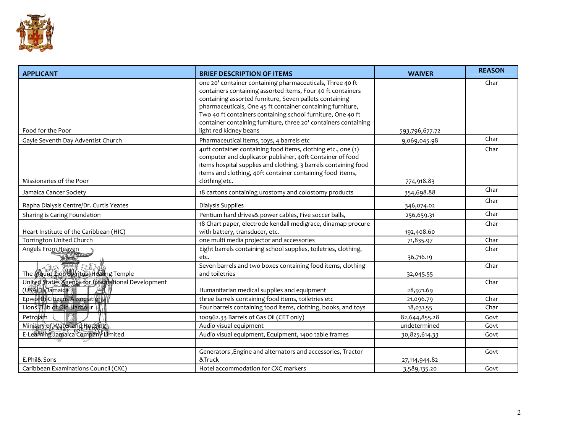

| <b>APPLICANT</b>                                   | <b>BRIEF DESCRIPTION OF ITEMS</b>                               | <b>WAIVER</b>    | <b>REASON</b> |
|----------------------------------------------------|-----------------------------------------------------------------|------------------|---------------|
|                                                    | one 20' container containing pharmaceuticals, Three 40 ft       |                  | Char          |
|                                                    | containers containing assorted items, Four 40 ft containers     |                  |               |
|                                                    | containing assorted furniture, Seven pallets containing         |                  |               |
|                                                    | pharmaceuticals, One 45 ft container containing furniture,      |                  |               |
|                                                    | Two 40 ft containers containing school furniture, One 40 ft     |                  |               |
|                                                    | container containing furniture, three 20' containers containing |                  |               |
| Food for the Poor                                  | light red kidney beans                                          | 593,796,677.72   | Char          |
| Gayle Seventh Day Adventist Church                 | Pharmaceutical items, toys, 4 barrels etc                       | 9,069,045.98     |               |
|                                                    | 40ft container containing food items, clothing etc., one (1)    |                  | Char          |
|                                                    | computer and duplicator publisher, 40ft Container of food       |                  |               |
|                                                    | items hospital supplies and clothing, 3 barrels containing food |                  |               |
|                                                    | items and clothing, 4oft container containing food items,       |                  |               |
| Missionaries of the Poor                           | clothing etc.                                                   | 774,918.83       |               |
| Jamaica Cancer Society                             | 18 cartons containing urostomy and colostomy products           | 354,698.88       | Char          |
| Rapha Dialysis Centre/Dr. Curtis Yeates            | Dialysis Supplies                                               | 346,074.02       | Char          |
| Sharing is Caring Foundation                       | Pentium hard drives& power cables, Five soccer balls,           | 256,659.31       | Char          |
|                                                    | 18 Chart paper, electrode kendall medigrace, dinamap procure    |                  | Char          |
| Heart Institute of the Caribbean (HIC)             | with battery, transducer, etc.                                  | 192,408.60       |               |
| Torrington United Church                           | one multi media projector and accessories                       | 71,835.97        | Char          |
| Angels From Heaven                                 | Eight barrels containing school supplies, toiletries, clothing, |                  | Char          |
|                                                    | etc.                                                            | 36,716.19        |               |
|                                                    | Seven barrels and two boxes containing food items, clothing     |                  | Char          |
| The Mount Zion Spiritual Healing Temple            | and toiletries                                                  | 32,045.55        |               |
| United States Agency for International Development |                                                                 |                  | Char          |
| (USAID)/Jamaica                                    | Humanitarian medical supplies and equipment                     | 28,971.69        |               |
| Epworth Citizens Association                       | three barrels containing food items, toiletries etc             | 21,096.79        | Char          |
| Lions Club of Old Harbour                          | Four barrels containing food items, clothing, books, and toys   | 18,031.55        | Char          |
| Petrojam                                           | 100962.33 Barrels of Gas Oil (CET only)                         | 82,644,855.28    | Govt          |
| Ministry of Water and Housing                      | Audio visual equipment                                          | undetermined     | Govt          |
| E-Learning Jamaica Company Limited                 | Audio visual equipment, Equipment, 1400 table frames            | 30,825,614.33    | Govt          |
|                                                    |                                                                 |                  |               |
|                                                    | Generators, Engine and alternators and accessories, Tractor     |                  | Govt          |
| E.Phil& Sons                                       | &Truck                                                          | 27, 114, 944. 82 |               |
| Caribbean Examinations Council (CXC)               | Hotel accommodation for CXC markers                             | 3,589,135.20     | Govt          |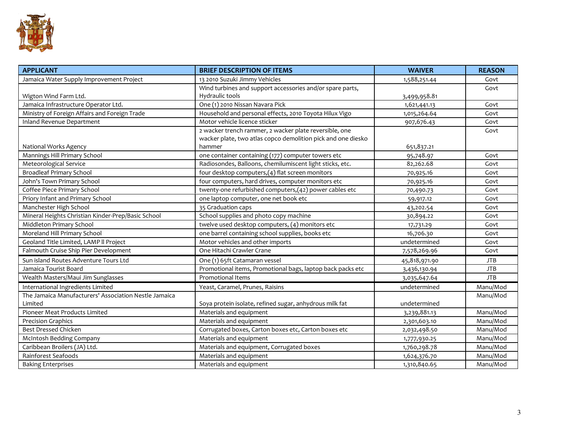

| <b>APPLICANT</b>                                      | <b>BRIEF DESCRIPTION OF ITEMS</b>                            | <b>WAIVER</b> | <b>REASON</b> |
|-------------------------------------------------------|--------------------------------------------------------------|---------------|---------------|
| Jamaica Water Supply Improvement Project              | 13 2010 Suzuki Jimmy Vehicles                                | 1,588,251.44  | Govt          |
|                                                       | Wind turbines and support accessories and/or spare parts,    |               | Govt          |
| Wigton Wind Farm Ltd.                                 | Hydraulic tools                                              | 3,499,958.81  |               |
| Jamaica Infrastructure Operator Ltd.                  | One (1) 2010 Nissan Navara Pick                              | 1,621,441.13  | Govt          |
| Ministry of Foreign Affairs and Foreign Trade         | Household and personal effects, 2010 Toyota Hilux Vigo       | 1,015,264.64  | Govt          |
| Inland Revenue Department                             | Motor vehicle licence sticker                                | 907,676.43    | Govt          |
|                                                       | 2 wacker trench rammer, 2 wacker plate reversible, one       |               | Govt          |
|                                                       | wacker plate, two atlas copco demolition pick and one diesko |               |               |
| National Works Agency                                 | hammer                                                       | 651,837.21    |               |
| Mannings Hill Primary School                          | one container containing (177) computer towers etc           | 95,748.97     | Govt          |
| Meteorological Service                                | Radiosondes, Balloons, chemilumiscent light sticks, etc.     | 82,262.68     | Govt          |
| <b>Broadleaf Primary School</b>                       | four desktop computers,(4) flat screen monitors              | 70,925.16     | Govt          |
| John's Town Primary School                            | four computers, hard drives, computer monitors etc           | 70,925.16     | Govt          |
| Coffee Piece Primary School                           | twenty-one refurbished computers, (42) power cables etc      | 70,490.73     | Govt          |
| Priory Infant and Primary School                      | one laptop computer, one net book etc                        | 59,917.12     | Govt          |
| Manchester High School                                | 35 Graduation caps                                           | 43,202.54     | Govt          |
| Mineral Heights Christian Kinder-Prep/Basic School    | School supplies and photo copy machine                       | 30,894.22     | Govt          |
| Middleton Primary School                              | twelve used desktop computers, (4) monitors etc              | 17,731.29     | Govt          |
| Moreland Hill Primary School                          | one barrel containing school supplies, books etc             | 16,706.30     | Govt          |
| Geoland Title Limited, LAMP II Project                | Motor vehicles and other imports                             | undetermined  | Govt          |
| Falmouth Cruise Ship Pier Development                 | One Hitachi Crawler Crane                                    | 7,578,269.96  | Govt          |
| Sun island Routes Adventure Tours Ltd                 | One (1) 65ft Catamaran vessel                                | 45,818,971.90 | <b>JTB</b>    |
| Jamaica Tourist Board                                 | Promotional items, Promotional bags, laptop back packs etc   | 3,436,130.94  | <b>JTB</b>    |
| Wealth Masters/Maui Jim Sunglasses                    | <b>Promotional Items</b>                                     | 3,035,647.64  | <b>JTB</b>    |
| International Ingredients Limited                     | Yeast, Caramel, Prunes, Raisins                              | undetermined  | Manu/Mod      |
| The Jamaica Manufacturers' Association Nestle Jamaica |                                                              |               | Manu/Mod      |
| Limited                                               | Soya protein isolate, refined sugar, anhydrous milk fat      | undetermined  |               |
| Pioneer Meat Products Limited                         | Materials and equipment                                      | 3,239,881.13  | Manu/Mod      |
| Precision Graphics                                    | Materials and equipment                                      | 2,301,603.10  | Manu/Mod      |
| <b>Best Dressed Chicken</b>                           | Corrugated boxes, Carton boxes etc, Carton boxes etc         | 2,032,498.50  | Manu/Mod      |
| McIntosh Bedding Company                              | Materials and equipment                                      | 1,777,930.25  | Manu/Mod      |
| Caribbean Broilers (JA) Ltd.                          | Materials and equipment, Corrugated boxes                    | 1,760,298.78  | Manu/Mod      |
| Rainforest Seafoods                                   | Materials and equipment                                      | 1,624,376.70  | Manu/Mod      |
| <b>Baking Enterprises</b>                             | Materials and equipment                                      | 1,310,840.65  | Manu/Mod      |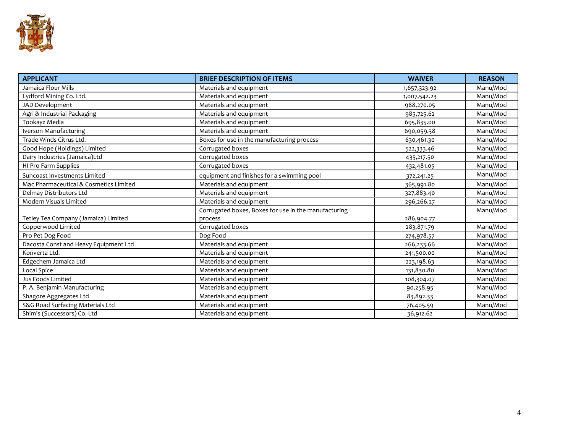

| <b>APPLICANT</b>                       | <b>BRIEF DESCRIPTION OF ITEMS</b>                    | <b>WAIVER</b> | <b>REASON</b> |
|----------------------------------------|------------------------------------------------------|---------------|---------------|
| Jamaica Flour Mills                    | Materials and equipment                              | 1,657,323.92  | Manu/Mod      |
| Lydford Mining Co. Ltd.                | Materials and equipment                              | 1,007,542.23  | Manu/Mod      |
| JAD Development                        | Materials and equipment                              | 988,270.05    | Manu/Mod      |
| Agri & Industrial Packaging            | Materials and equipment                              | 985,725.62    | Manu/Mod      |
| Tookayz Media                          | Materials and equipment                              | 695,835.00    | Manu/Mod      |
| Iverson Manufacturing                  | Materials and equipment                              | 690,059.38    | Manu/Mod      |
| Trade Winds Citrus Ltd.                | Boxes for use in the manufacturing process           | 630,461.30    | Manu/Mod      |
| Good Hope (Holdings) Limited           | Corrugated boxes                                     | 522,333.46    | Manu/Mod      |
| Dairy Industries (Jamaica)Ltd          | Corrugated boxes                                     | 435,217.50    | Manu/Mod      |
| HI Pro Farm Supplies                   | Corrugated boxes                                     | 432,481.05    | Manu/Mod      |
| Suncoast Investments Limited           | equipment and finishes for a swimming pool           | 372,241.25    | Manu/Mod      |
| Mac Pharmaceutical & Cosmetics Limited | Materials and equipment                              | 365,991.80    | Manu/Mod      |
| Delmay Distributors Ltd                | Materials and equipment                              | 327,883.40    | Manu/Mod      |
| Modern Visuals Limited                 | Materials and equipment                              | 296,266.27    | Manu/Mod      |
|                                        | Corrugated boxes, Boxes for use in the manufacturing |               | Manu/Mod      |
| Tetley Tea Company (Jamaica) Limited   | process                                              | 286,904.77    |               |
| Copperwood Limited                     | Corrugated boxes                                     | 283,871.79    | Manu/Mod      |
| Pro Pet Dog Food                       | Dog Food                                             | 274,978.57    | Manu/Mod      |
| Dacosta Const and Heavy Equipment Ltd  | Materials and equipment                              | 266,233.66    | Manu/Mod      |
| Konverta Ltd.                          | Materials and equipment                              | 241,500.00    | Manu/Mod      |
| Edgechem Jamaica Ltd                   | Materials and equipment                              | 223,198.63    | Manu/Mod      |
| Local Spice                            | Materials and equipment                              | 131,830.80    | Manu/Mod      |
| <b>Jus Foods Limited</b>               | Materials and equipment                              | 108,304.07    | Manu/Mod      |
| P. A. Benjamin Manufacturing           | Materials and equipment                              | 90,258.95     | Manu/Mod      |
| Shagore Aggregates Ltd                 | Materials and equipment                              | 83,892.33     | Manu/Mod      |
| S&G Road Surfacing Materials Ltd       | Materials and equipment                              | 76,405.59     | Manu/Mod      |
| Shim's (Successors) Co. Ltd            | Materials and equipment                              | 36,912.62     | Manu/Mod      |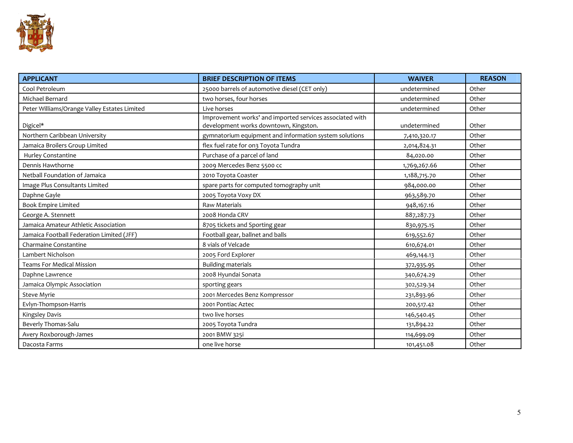

| <b>APPLICANT</b>                             | <b>BRIEF DESCRIPTION OF ITEMS</b>                                                                 | <b>WAIVER</b> | <b>REASON</b> |
|----------------------------------------------|---------------------------------------------------------------------------------------------------|---------------|---------------|
| Cool Petroleum                               | 25000 barrels of automotive diesel (CET only)                                                     | undetermined  | Other         |
| Michael Bernard                              | two horses, four horses                                                                           | undetermined  | Other         |
| Peter Williams/Orange Valley Estates Limited | Live horses                                                                                       | undetermined  | Other         |
| Digicel*                                     | Improvement works' and imported services associated with<br>development works downtown, Kingston. | undetermined  | Other         |
| Northern Caribbean University                | gymnatorium equipment and information system solutions                                            | 7,410,320.17  | Other         |
| Jamaica Broilers Group Limited               | flex fuel rate for on3 Toyota Tundra                                                              | 2,014,824.31  | Other         |
| Hurley Constantine                           | Purchase of a parcel of land                                                                      | 84,020.00     | Other         |
| Dennis Hawthorne                             | 2009 Mercedes Benz 5500 cc                                                                        | 1,769,267.66  | Other         |
| Netball Foundation of Jamaica                | 2010 Toyota Coaster                                                                               | 1,188,715.70  | Other         |
| Image Plus Consultants Limited               | spare parts for computed tomography unit                                                          | 984,000.00    | Other         |
| Daphne Gayle                                 | 2005 Toyota Voxy DX                                                                               | 963,589.70    | Other         |
| <b>Book Empire Limited</b>                   | <b>Raw Materials</b>                                                                              | 948,167.16    | Other         |
| George A. Stennett                           | 2008 Honda CRV                                                                                    | 887,287.73    | Other         |
| Jamaica Amateur Athletic Association         | 8705 tickets and Sporting gear                                                                    | 830,975.15    | Other         |
| Jamaica Football Federation Limited (JFF)    | Football gear, ballnet and balls                                                                  | 619,552.67    | Other         |
| Charmaine Constantine                        | 8 vials of Velcade                                                                                | 610,674.01    | Other         |
| Lambert Nicholson                            | 2005 Ford Explorer                                                                                | 469,144.13    | Other         |
| <b>Teams For Medical Mission</b>             | <b>Building materials</b>                                                                         | 372,935.95    | Other         |
| Daphne Lawrence                              | 2008 Hyundai Sonata                                                                               | 340,674.29    | Other         |
| Jamaica Olympic Association                  | sporting gears                                                                                    | 302,529.34    | Other         |
| Steve Myrie                                  | 2001 Mercedes Benz Kompressor                                                                     | 231,893.96    | Other         |
| Evlyn-Thompson-Harris                        | 2001 Pontiac Aztec                                                                                | 200,517.42    | Other         |
| Kingsley Davis                               | two live horses                                                                                   | 146,540.45    | Other         |
| Beverly Thomas-Salu                          | 2005 Toyota Tundra                                                                                | 131,894.22    | Other         |
| Avery Roxborough-James                       | 2001 BMW 325i                                                                                     | 114,699.09    | Other         |
| Dacosta Farms                                | one live horse                                                                                    | 101,451.08    | Other         |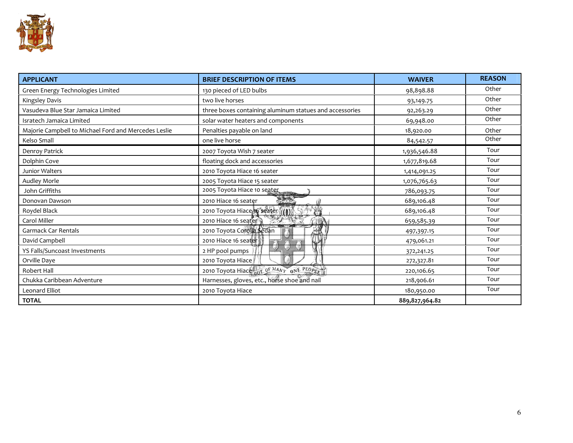

| <b>APPLICANT</b>                                     | <b>BRIEF DESCRIPTION OF ITEMS</b>                       | <b>WAIVER</b>  | <b>REASON</b> |
|------------------------------------------------------|---------------------------------------------------------|----------------|---------------|
| Green Energy Technologies Limited                    | 130 pieced of LED bulbs                                 | 98,898.88      | Other         |
| Kingsley Davis                                       | two live horses                                         | 93,149.75      | Other         |
| Vasudeva Blue Star Jamaica Limited                   | three boxes containing aluminum statues and accessories | 92,263.29      | Other         |
| Isratech Jamaica Limited                             | solar water heaters and components                      | 69,948.00      | Other         |
| Majorie Campbell to Michael Ford and Mercedes Leslie | Penalties payable on land                               | 18,920.00      | Other         |
| Kelso Small                                          | one live horse                                          | 84,542.57      | Other         |
| Denroy Patrick                                       | 2007 Toyota Wish 7 seater                               | 1,936,546.88   | Tour          |
| Dolphin Cove                                         | floating dock and accessories                           | 1,677,819.68   | Tour          |
| Junior Walters                                       | 2010 Toyota Hiace 16 seater                             | 1,414,091.25   | Tour          |
| Audley Morle                                         | 2005 Toyota Hiace 15 seater                             | 1,076,765.63   | Tour          |
| John Griffiths                                       | 2005 Toyota Hiace 10 seater                             | 786,093.75     | Tour          |
| Donovan Dawson                                       | 2010 Hiace 16 seater                                    | 689,106.48     | Tour          |
| Roydel Black                                         | 灣<br>2010 Toyota Hiace 16 seater ((1)))                 | 689,106.48     | Tour          |
| Carol Miller                                         | 2010 Hiace 16 seater                                    | 659,585.39     | Tour          |
| Garmack Car Rentals                                  | 2010 Toyota Corolla Sedan                               | 497,397.15     | Tour          |
| David Campbell                                       | 2010 Hiace 16 seater                                    | 479,061.21     | Tour          |
| YS Falls/Suncoast Investments                        | 2 HP pool pumps                                         | 372,241.25     | Tour          |
| Orville Daye                                         | 2010 Toyota Hiace                                       | 272,327.81     | Tour          |
| <b>Robert Hall</b>                                   | 2010 Toyota Hiace OUT OF MANY ONE PEOPLE                | 220,106.65     | Tour          |
| Chukka Caribbean Adventure                           | Harnesses, gloves, etc., horse shoe and nail            | 218,906.61     | Tour          |
| Leonard Elliot                                       | 2010 Toyota Hiace                                       | 180,950.00     | Tour          |
| <b>TOTAL</b>                                         |                                                         | 889,827,964.82 |               |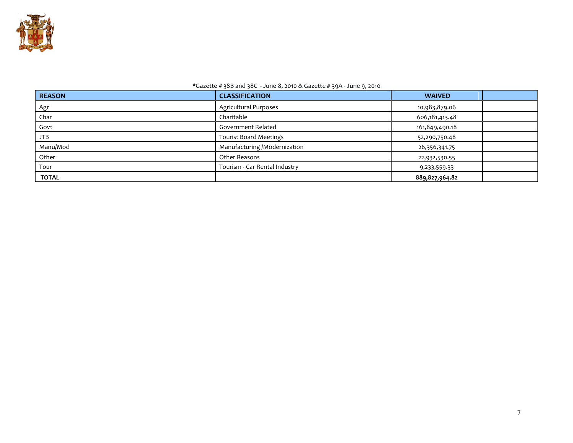

#### \*Gazette # 38B and 38C - June 8, 2010 & Gazette # 39A - June 9, 2010

| <b>REASON</b> | <b>CLASSIFICATION</b>         | <b>WAIVED</b>  |
|---------------|-------------------------------|----------------|
| Agr           | Agricultural Purposes         | 10,983,879.06  |
| Char          | Charitable                    | 606,181,413.48 |
| Govt          | Government Related            | 161,849,490.18 |
| <b>JTB</b>    | <b>Tourist Board Meetings</b> | 52,290,750.48  |
| Manu/Mod      | Manufacturing / Modernization | 26,356,341.75  |
| Other         | Other Reasons                 | 22,932,530.55  |
| Tour          | Tourism - Car Rental Industry | 9,233,559.33   |
| <b>TOTAL</b>  |                               | 889,827,964.82 |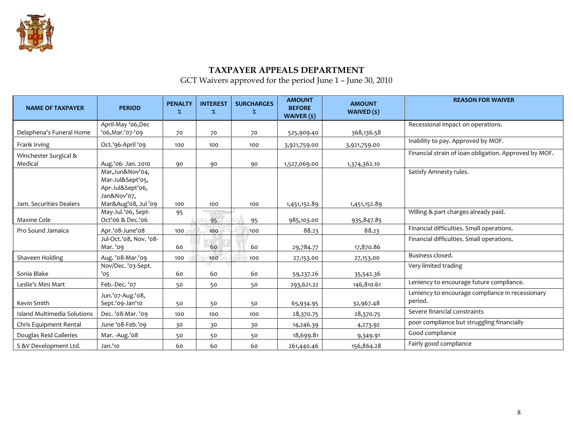

## TAXPAYER APPEALS DEPARTMENT

GCT Waivers approved for the period June 1 – June 30, 2010

| <b>NAME OF TAXPAYER</b>     | <b>PERIOD</b>                                                           | <b>PENALTY</b><br>$\%$ | <b>INTEREST</b><br>% | <b>SURCHARGES</b><br>% | <b>AMOUNT</b><br><b>BEFORE</b><br>WAIVER $($ \$) | <b>AMOUNT</b><br>WAIVED $(\frac{1}{2})$ | <b>REASON FOR WAIVER</b>                                    |
|-----------------------------|-------------------------------------------------------------------------|------------------------|----------------------|------------------------|--------------------------------------------------|-----------------------------------------|-------------------------------------------------------------|
|                             | April-May '06,Dec                                                       |                        |                      |                        |                                                  |                                         | Recessional impact on operations.                           |
| Delaphena's Funeral Home    | '06, Mar.' 07-' 09                                                      | 70                     | 70                   | 70                     | 525,909.40                                       | 368,136.58                              |                                                             |
| Frank Irving                | Oct.'96-April'09                                                        | 100                    | 100                  | 100                    | 3,921,759.00                                     | 3,921,759.00                            | Inability to pay. Approved by MOF.                          |
| Winchester Surgical &       |                                                                         |                        |                      |                        |                                                  |                                         | Financial strain of loan obligation. Approved by MOF.       |
| Medical                     | Aug.'06- Jan. 2010                                                      | 90                     | 90                   | 90                     | 1,527,069.00                                     | 1,374,362.10                            |                                                             |
|                             | Mar, Jun&Nov'04,<br>Mar-Jul&Sept'05,<br>Apr-Jul&Sept'06,<br>Jan&Nov'o7, |                        |                      |                        |                                                  |                                         | Satisfy Amnesty rules.                                      |
| Jam. Securities Dealers     | Mar&Aug'o8, Jul '09<br>May-Jul.'06, Sept-                               | 100                    | 100                  | 100                    | 1,451,152.89                                     | 1,451,152.89                            | Willing & part charges already paid.                        |
| Maxine Cole                 | Oct'06 & Dec.'06                                                        | 95                     | 95                   | 95                     | 985,103.00                                       | 935,847.85                              |                                                             |
| Pro Sound Jamaica           | Apr.'o8-June'o8                                                         | 100                    | 100                  | 100                    | 88.23                                            | 88.23                                   | Financial difficulties. Small operations.                   |
|                             | Jul-Oct.'08, Nov. '08-<br>Mar. '09                                      | 60                     | 60                   | 60                     | 29,784.77                                        | 17,870.86                               | Financial difficulties. Small operations.                   |
| Shaveen Holding             | Aug. '08-Mar.'09                                                        | 100                    | 100                  | 100                    | 27,153.00                                        | 27,153.00                               | Business closed.                                            |
| Sonia Blake                 | Nov/Dec. '03-Sept.<br>$'$ 05                                            | 60                     | 60                   | 60                     | 59,237.26                                        | 35,542.36                               | Very limited trading                                        |
| Leslie's Mini Mart          | Feb.-Dec. '07                                                           | 50                     | 50                   | 50                     | 293,621.22                                       | 146,810.61                              | Leniency to encourage future compliance.                    |
| Kevin Smith                 | Jun.'07-Aug.'08,<br>Sept.'o9-Jan'10                                     | 50                     | 50                   | 50                     | 65,934.95                                        | 32,967.48                               | Leniency to encourage compliance in recessionary<br>period. |
| Island Multimedia Solutions | Dec. '08-Mar. '09                                                       | 100                    | 100                  | 100                    | 28,370.75                                        | 28,370.75                               | Severe financial constraints                                |
| Chris Equipment Rental      | June '08-Feb.'09                                                        | 30                     | 30                   | 30                     | 14,246.39                                        | 4,273.92                                | poor compliance but struggling financially                  |
| Douglas Reid Galleries      | Mar. - Aug. '08                                                         | 50                     | 50                   | 50                     | 18,699.81                                        | 9,349.91                                | Good compliance                                             |
| S &V Development Ltd.       | Jan.'10                                                                 | 60                     | 60                   | 60                     | 261,440.46                                       | 156,864.28                              | Fairly good compliance                                      |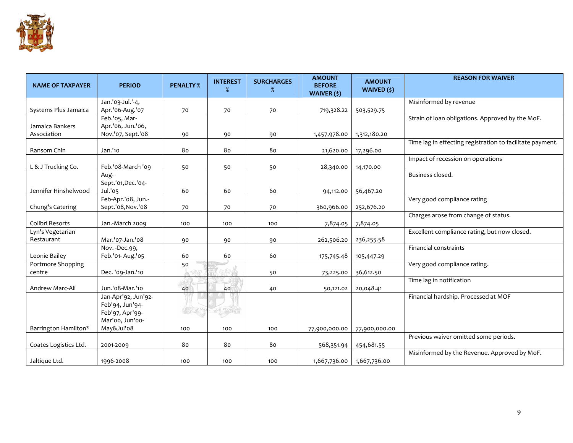

| <b>NAME OF TAXPAYER</b> | <b>PERIOD</b>                          | <b>PENALTY %</b> | <b>INTEREST</b><br>%      | <b>SURCHARGES</b><br>% | <b>AMOUNT</b><br><b>BEFORE</b><br>WAIVER (\$) | <b>AMOUNT</b><br>WAIVED $($ \$) | <b>REASON FOR WAIVER</b>                                  |
|-------------------------|----------------------------------------|------------------|---------------------------|------------------------|-----------------------------------------------|---------------------------------|-----------------------------------------------------------|
|                         | Jan.'03-Jul.'-4,                       |                  |                           |                        |                                               |                                 | Misinformed by revenue                                    |
| Systems Plus Jamaica    | Apr.'06-Aug.'07                        | 70               | 70                        | 70                     |                                               | 719,328.22 503,529.75           |                                                           |
|                         | Feb.'o5, Mar-                          |                  |                           |                        |                                               |                                 | Strain of loan obligations. Approved by the MoF.          |
| Jamaica Bankers         | Apr.'06, Jun.'06,                      |                  |                           |                        |                                               |                                 |                                                           |
| Association             | Nov.'07, Sept.'08                      | 90               | 90                        | 90                     | 1,457,978.00 1,312,180.20                     |                                 |                                                           |
|                         |                                        |                  |                           |                        |                                               |                                 | Time lag in effecting registration to facilitate payment. |
| Ransom Chin             | Jan.'10                                | 80               | 80                        | 80                     | 21,620.00                                     | 17,296.00                       |                                                           |
|                         |                                        |                  |                           |                        |                                               |                                 | Impact of recession on operations                         |
| L & J Trucking Co.      | Feb.'o8-March 'o9                      | 50               | 50                        | 50                     | 28,340.00                                     | 14,170.00                       |                                                           |
|                         | Aug-<br>Sept.'01, Dec.'04-             |                  |                           |                        |                                               |                                 | Business closed.                                          |
| Jennifer Hinshelwood    | Jul.'05                                | 60               | 60                        | 60                     | 94,112.00                                     |                                 |                                                           |
|                         | Feb-Apr.'o8, Jun.-                     |                  |                           |                        |                                               | 56,467.20                       | Very good compliance rating                               |
| Chung's Catering        | Sept.'o8, Nov.'o8                      | 70               | 70                        | 70                     | 360,966.00                                    | 252,676.20                      |                                                           |
|                         |                                        |                  |                           |                        |                                               |                                 | Charges arose from change of status.                      |
| Colibri Resorts         | Jan.-March 2009                        | 100              | 100                       | 100                    | 7,874.05                                      | 7,874.05                        |                                                           |
| Lyn's Vegetarian        |                                        |                  |                           |                        |                                               |                                 | Excellent compliance rating, but now closed.              |
| Restaurant              | Mar.'o7-Jan.'o8                        | 90               | 90                        | 90                     |                                               | 262,506.20 236,255.58           |                                                           |
|                         | Nov. -Dec.99,                          |                  |                           |                        |                                               |                                 | Financial constraints                                     |
| Leonie Bailey           | Feb.'01- Aug.'05                       | 60               | 60                        | 60                     | 175,745.48                                    | 105,447.29                      |                                                           |
| Portmore Shopping       |                                        | 50               |                           |                        |                                               |                                 | Very good compliance rating.                              |
| centre                  | Dec. '09-Jan.'10                       |                  | $\mathcal{D} \mathcal{A}$ | 50                     | 73,225.00                                     | 36,612.50                       |                                                           |
|                         |                                        |                  |                           |                        |                                               |                                 | Time lag in notification                                  |
| Andrew Marc-Ali         | Jun.'o8-Mar.'10                        | 40               | 40                        | 40                     | 50,121.02                                     | 20,048.41                       |                                                           |
|                         | Jan-Apr'92, Jun'92-<br>Feb'94, Jun'94- |                  |                           |                        |                                               |                                 | Financial hardship. Processed at MOF                      |
|                         | Feb'97, Apr'99-                        | <b>OUT OF MA</b> | ONE PEOPLET               |                        |                                               |                                 |                                                           |
|                         | Mar'oo, Jun'oo-                        |                  |                           |                        |                                               |                                 |                                                           |
| Barrington Hamilton*    | May&Jul'o8                             | 100              | 100                       | 100                    | 77,900,000.00                                 | 77,900,000.00                   |                                                           |
|                         |                                        |                  |                           |                        |                                               |                                 | Previous waiver omitted some periods.                     |
| Coates Logistics Ltd.   | 2001-2009                              | 80               | 80                        | 80                     | 568,351.94                                    | 454,681.55                      |                                                           |
|                         |                                        |                  |                           |                        |                                               |                                 | Misinformed by the Revenue. Approved by MoF.              |
| Jaltique Ltd.           | 1996-2008                              | 100              | 100                       | 100                    |                                               | 1,667,736.00 1,667,736.00       |                                                           |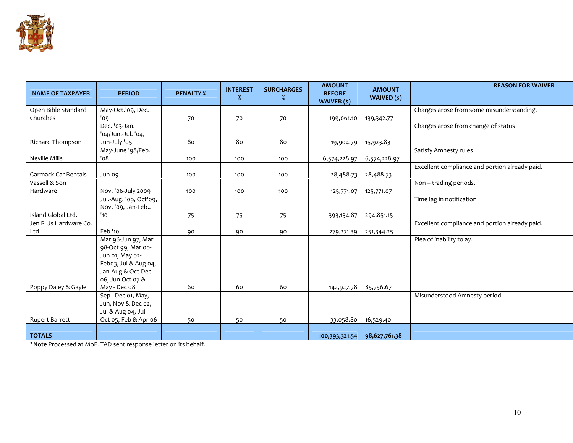

| <b>NAME OF TAXPAYER</b> | <b>PERIOD</b>          | <b>PENALTY %</b> | <b>INTEREST</b><br>$\%$ | <b>SURCHARGES</b><br>% | <b>AMOUNT</b><br><b>BEFORE</b><br>WAIVER $($ \$) | <b>AMOUNT</b><br>WAIVED $($ \$) | <b>REASON FOR WAIVER</b>                       |
|-------------------------|------------------------|------------------|-------------------------|------------------------|--------------------------------------------------|---------------------------------|------------------------------------------------|
| Open Bible Standard     | May-Oct.'09, Dec.      |                  |                         |                        |                                                  |                                 | Charges arose from some misunderstanding.      |
| Churches                | $'$ 09                 | 70               | 70                      | 70                     | 199,061.10                                       | 139,342.77                      |                                                |
|                         | Dec. '03-Jan.          |                  |                         |                        |                                                  |                                 | Charges arose from change of status            |
|                         | '04/Jun.-Jul. '04,     |                  |                         |                        |                                                  |                                 |                                                |
| Richard Thompson        | Jun-July '05           | 80               | 80                      | 80                     | 19,904.79                                        | 15,923.83                       |                                                |
|                         | May-June '98/Feb.      |                  |                         |                        |                                                  |                                 | Satisfy Amnesty rules                          |
| Neville Mills           | $'$ 08                 | 100              | 100                     | 100                    | 6,574,228.97                                     | 6,574,228.97                    |                                                |
|                         |                        |                  |                         |                        |                                                  |                                 | Excellent compliance and portion already paid. |
| Garmack Car Rentals     | Jun-o9                 | 100              | 100                     | 100                    | 28,488.73                                        | 28,488.73                       |                                                |
| Vassell & Son           |                        |                  |                         |                        |                                                  |                                 | Non - trading periods.                         |
| Hardware                | Nov. '06-July 2009     | 100              | 100                     | 100                    | 125,771.07                                       | 125,771.07                      |                                                |
|                         | Jul.-Aug. '09, Oct'09, |                  |                         |                        |                                                  |                                 | Time lag in notification                       |
|                         | Nov. '09, Jan-Feb      |                  |                         |                        |                                                  |                                 |                                                |
| Island Global Ltd.      | '10                    | 75               | 75                      | 75                     | 393,134.87                                       | 294,851.15                      |                                                |
| Jen R Us Hardware Co.   |                        |                  |                         |                        |                                                  |                                 | Excellent compliance and portion already paid. |
| Ltd                     | Feb '10                | 90               | 90                      | 90                     | 279,271.39                                       | 251,344.25                      |                                                |
|                         | Mar 96-Jun 97, Mar     |                  |                         |                        |                                                  |                                 | Plea of inability to ay.                       |
|                         | 98-Oct 99, Mar 00-     |                  |                         |                        |                                                  |                                 |                                                |
|                         | Jun 01, May 02-        |                  |                         |                        |                                                  |                                 |                                                |
|                         | Febo3, Jul & Aug 04,   |                  |                         |                        |                                                  |                                 |                                                |
|                         | Jan-Aug & Oct-Dec      |                  |                         |                        |                                                  |                                 |                                                |
|                         | 06, Jun-Oct 07 &       |                  |                         |                        |                                                  |                                 |                                                |
| Poppy Daley & Gayle     | May - Dec o8           | 60               | 60                      | 60                     | 142,927.78                                       | 85,756.67                       |                                                |
|                         | Sep - Dec 01, May,     |                  |                         |                        |                                                  |                                 | Misunderstood Amnesty period.                  |
|                         | Jun, Nov & Dec 02,     |                  |                         |                        |                                                  |                                 |                                                |
|                         | Jul & Aug 04, Jul -    |                  |                         |                        |                                                  |                                 |                                                |
| <b>Rupert Barrett</b>   | Oct 05, Feb & Apr 06   | 50               | 50                      | 50                     | 33,058.80                                        | 16,529.40                       |                                                |
| <b>TOTALS</b>           |                        |                  |                         |                        | 100,393,321.54                                   | 98,627,761.38                   |                                                |

\*Note Processed at MoF. TAD sent response letter on its behalf.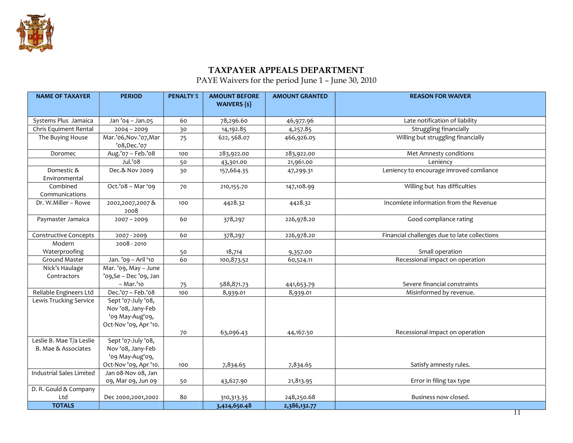

## TAXPAYER APPEALS DEPARTMENT

PAYE Waivers for the period June 1 – June 30, 2010

| <b>NAME OF TAXAYER</b>          | <b>PERIOD</b>         | <b>PENALTY %</b> | <b>AMOUNT BEFORE</b><br><b>WAIVERS</b> $\{$ \$ $\}$ | <b>AMOUNT GRANTED</b>      | <b>REASON FOR WAIVER</b>                     |
|---------------------------------|-----------------------|------------------|-----------------------------------------------------|----------------------------|----------------------------------------------|
|                                 |                       |                  |                                                     |                            |                                              |
| Systems Plus Jamaica            | Jan '04 - Jan.05      | 60               | 78,296.60                                           | 46,977.96                  | Late notification of liability               |
| Chris Equiment Rental           | $2004 - 2009$         | 30               | 14,192.85                                           | 4,257.85                   | Struggling financially                       |
| The Buying House                | Mar.'06, Nov.'07, Mar | 75               | 622, 568.07                                         | 466,926.05                 | Willing but struggling financially           |
|                                 | '08, Dec.' 07         |                  |                                                     |                            |                                              |
| Doromec                         | Aug.'07 - Feb.'08     | 100              | 283,922.00                                          | 283,922.00                 | Met Amnesty conditions                       |
|                                 | Jul.'08               | 50               | 43,301.00                                           | 21,961.00                  | Leniency                                     |
| Domestic &                      | Dec.& Nov 2009        | 30               | 157,664.35                                          | 47,299.31                  | Leniency to encourage imroved comliance      |
| Environmental                   |                       |                  |                                                     |                            |                                              |
| Combined                        | Oct.'o8 - Mar 'o9     | 70               | 210, 155.70                                         | 147,108.99                 | Willing but has difficulties                 |
| Communications                  |                       |                  |                                                     |                            |                                              |
| Dr. W.Miller - Rowe             | 2002,2007,2007&       | 100              | 4428.32                                             | 4428.32                    | Incomlete information from the Revenue       |
|                                 | 2008                  |                  |                                                     |                            |                                              |
| Paymaster Jamaica               | $2007 - 2009$         | 60               | 378,297                                             | 226,978.20                 | Good compliance rating                       |
| <b>Constructive Concepts</b>    | 2007 - 2009           | 60               | 378,297                                             | 226,978.20                 | Financial challenges due to late collections |
| Modern                          | $2008 - 2010$         |                  |                                                     |                            |                                              |
| Waterproofing                   |                       | 50               | 18,714                                              | 9,357.00                   | Small operation                              |
| Ground Master                   | Jan. '09 - Aril '10   | 60               | 100,873.52                                          | 60,524.11                  | Recessional impact on operation              |
| Nick's Haulage                  | Mar. '09, May – June  |                  |                                                     |                            |                                              |
| Contractors                     | '09,Se - Dec '09, Jan |                  |                                                     |                            |                                              |
|                                 | $-Mar.'$ 10           | 75               | 588,871.73                                          | 441,653.79                 | Severe financial constraints                 |
| Reliable Engineers Ltd          | Dec.'o7 - Feb.'o8     | 100              | 8,939.01                                            | 8,939.01                   | Misinformed by revenue.                      |
| Lewis Trucking Service          | Sept '07-July '08,    |                  |                                                     |                            |                                              |
|                                 | Nov 'o8, Jany-Feb     |                  |                                                     |                            |                                              |
|                                 | 'o9 May-Aug'o9,       |                  |                                                     |                            |                                              |
|                                 | Oct-Nov '09, Apr '10. |                  |                                                     |                            |                                              |
|                                 |                       | 70               | 63,096.43                                           | 44,167.50                  | Recessional impact on operation              |
| Leslie B. Mae T/a Leslie        | Sept '07-July '08,    |                  |                                                     |                            |                                              |
| B. Mae & Associates             | Nov 'o8, Jany-Feb     |                  |                                                     |                            |                                              |
|                                 | 'og May-Aug'og,       |                  |                                                     |                            |                                              |
|                                 | Oct-Nov '09, Apr '10. | 100              | 7,834.65                                            | 7,834.65                   | Satisfy amnesty rules.                       |
| <b>Industrial Sales Limited</b> | Jan 08-Nov 08, Jan    |                  |                                                     |                            |                                              |
|                                 | 09, Mar 09, Jun 09    | 50               | 43,627.90                                           | 21,813.95                  | Error in filing tax type                     |
| D. R. Gould & Company<br>Ltd    |                       | 80               |                                                     |                            | Business now closed.                         |
| <b>TOTALS</b>                   | Dec 2000,2001,2002    |                  | 310, 313. 35<br>3,424,650.48                        | 248,250.68<br>2,386,132.77 |                                              |
|                                 |                       |                  |                                                     |                            | 11                                           |